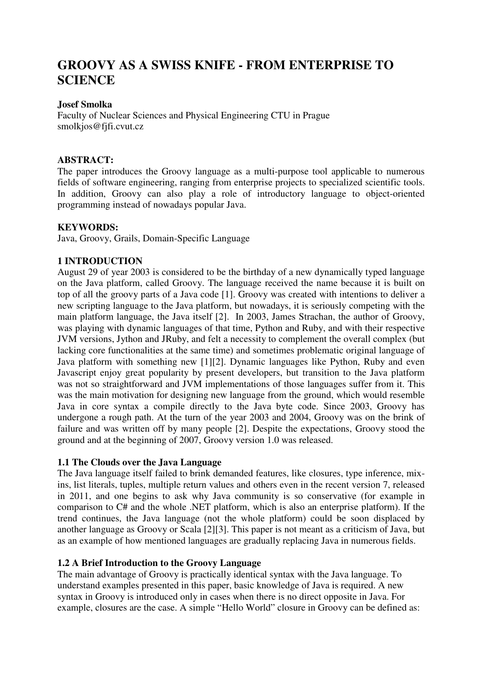# **GROOVY AS A SWISS KNIFE - FROM ENTERPRISE TO SCIENCE**

# **Josef Smolka**

Faculty of Nuclear Sciences and Physical Engineering CTU in Prague smolkjos@fjfi.cvut.cz

## **ABSTRACT:**

The paper introduces the Groovy language as a multi-purpose tool applicable to numerous fields of software engineering, ranging from enterprise projects to specialized scientific tools. In addition, Groovy can also play a role of introductory language to object-oriented programming instead of nowadays popular Java.

## **KEYWORDS:**

Java, Groovy, Grails, Domain-Specific Language

# **1 INTRODUCTION**

August 29 of year 2003 is considered to be the birthday of a new dynamically typed language on the Java platform, called Groovy. The language received the name because it is built on top of all the groovy parts of a Java code [1]. Groovy was created with intentions to deliver a new scripting language to the Java platform, but nowadays, it is seriously competing with the main platform language, the Java itself [2]. In 2003, James Strachan, the author of Groovy, was playing with dynamic languages of that time, Python and Ruby, and with their respective JVM versions, Jython and JRuby, and felt a necessity to complement the overall complex (but lacking core functionalities at the same time) and sometimes problematic original language of Java platform with something new [1][2]. Dynamic languages like Python, Ruby and even Javascript enjoy great popularity by present developers, but transition to the Java platform was not so straightforward and JVM implementations of those languages suffer from it. This was the main motivation for designing new language from the ground, which would resemble Java in core syntax a compile directly to the Java byte code. Since 2003, Groovy has undergone a rough path. At the turn of the year 2003 and 2004, Groovy was on the brink of failure and was written off by many people [2]. Despite the expectations, Groovy stood the ground and at the beginning of 2007, Groovy version 1.0 was released.

# **1.1 The Clouds over the Java Language**

The Java language itself failed to brink demanded features, like closures, type inference, mixins, list literals, tuples, multiple return values and others even in the recent version 7, released in 2011, and one begins to ask why Java community is so conservative (for example in comparison to C# and the whole .NET platform, which is also an enterprise platform). If the trend continues, the Java language (not the whole platform) could be soon displaced by another language as Groovy or Scala [2][3]. This paper is not meant as a criticism of Java, but as an example of how mentioned languages are gradually replacing Java in numerous fields.

# **1.2 A Brief Introduction to the Groovy Language**

The main advantage of Groovy is practically identical syntax with the Java language. To understand examples presented in this paper, basic knowledge of Java is required. A new syntax in Groovy is introduced only in cases when there is no direct opposite in Java. For example, closures are the case. A simple "Hello World" closure in Groovy can be defined as: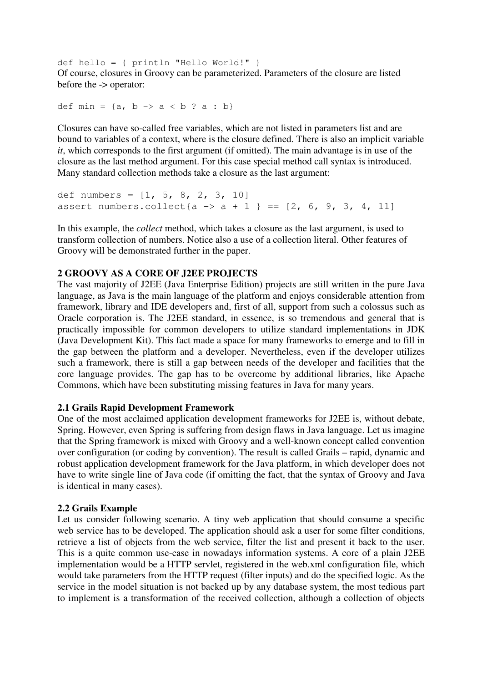def hello = { println "Hello World!" } Of course, closures in Groovy can be parameterized. Parameters of the closure are listed before the -> operator:

def min =  $\{a, b \rightarrow a < b$  ?  $a : b\}$ 

Closures can have so-called free variables, which are not listed in parameters list and are bound to variables of a context, where is the closure defined. There is also an implicit variable *it*, which corresponds to the first argument (if omitted). The main advantage is in use of the closure as the last method argument. For this case special method call syntax is introduced. Many standard collection methods take a closure as the last argument:

def numbers =  $[1, 5, 8, 2, 3, 10]$ assert numbers.collect{a -> a + 1 } ==  $[2, 6, 9, 3, 4, 11]$ 

In this example, the *collect* method, which takes a closure as the last argument, is used to transform collection of numbers. Notice also a use of a collection literal. Other features of Groovy will be demonstrated further in the paper.

#### **2 GROOVY AS A CORE OF J2EE PROJECTS**

The vast majority of J2EE (Java Enterprise Edition) projects are still written in the pure Java language, as Java is the main language of the platform and enjoys considerable attention from framework, library and IDE developers and, first of all, support from such a colossus such as Oracle corporation is. The J2EE standard, in essence, is so tremendous and general that is practically impossible for common developers to utilize standard implementations in JDK (Java Development Kit). This fact made a space for many frameworks to emerge and to fill in the gap between the platform and a developer. Nevertheless, even if the developer utilizes such a framework, there is still a gap between needs of the developer and facilities that the core language provides. The gap has to be overcome by additional libraries, like Apache Commons, which have been substituting missing features in Java for many years.

## **2.1 Grails Rapid Development Framework**

One of the most acclaimed application development frameworks for J2EE is, without debate, Spring. However, even Spring is suffering from design flaws in Java language. Let us imagine that the Spring framework is mixed with Groovy and a well-known concept called convention over configuration (or coding by convention). The result is called Grails – rapid, dynamic and robust application development framework for the Java platform, in which developer does not have to write single line of Java code (if omitting the fact, that the syntax of Groovy and Java is identical in many cases).

#### **2.2 Grails Example**

Let us consider following scenario. A tiny web application that should consume a specific web service has to be developed. The application should ask a user for some filter conditions, retrieve a list of objects from the web service, filter the list and present it back to the user. This is a quite common use-case in nowadays information systems. A core of a plain J2EE implementation would be a HTTP servlet, registered in the web.xml configuration file, which would take parameters from the HTTP request (filter inputs) and do the specified logic. As the service in the model situation is not backed up by any database system, the most tedious part to implement is a transformation of the received collection, although a collection of objects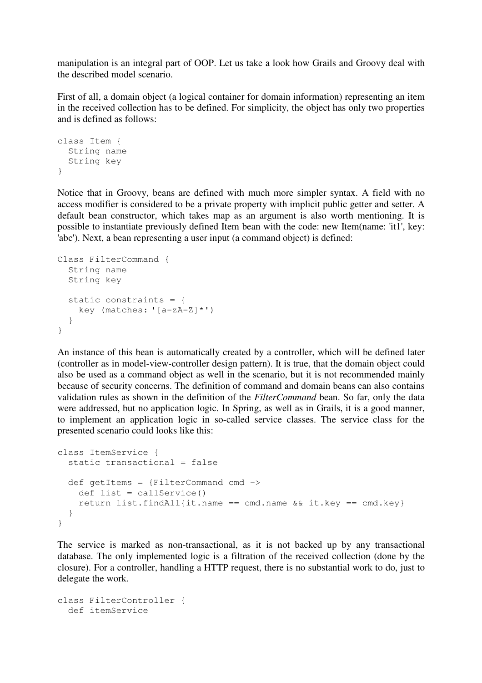manipulation is an integral part of OOP. Let us take a look how Grails and Groovy deal with the described model scenario.

First of all, a domain object (a logical container for domain information) representing an item in the received collection has to be defined. For simplicity, the object has only two properties and is defined as follows:

```
class Item { 
   String name 
   String key 
}
```
Notice that in Groovy, beans are defined with much more simpler syntax. A field with no access modifier is considered to be a private property with implicit public getter and setter. A default bean constructor, which takes map as an argument is also worth mentioning. It is possible to instantiate previously defined Item bean with the code: new Item(name: 'it1', key: 'abc'). Next, a bean representing a user input (a command object) is defined:

```
Class FilterCommand { 
   String name 
   String key 
   static constraints = { 
    key (matches: [(a-zA-Z)*') } 
}
```
An instance of this bean is automatically created by a controller, which will be defined later (controller as in model-view-controller design pattern). It is true, that the domain object could also be used as a command object as well in the scenario, but it is not recommended mainly because of security concerns. The definition of command and domain beans can also contains validation rules as shown in the definition of the *FilterCommand* bean. So far, only the data were addressed, but no application logic. In Spring, as well as in Grails, it is a good manner, to implement an application logic in so-called service classes. The service class for the presented scenario could looks like this:

```
class ItemService { 
   static transactional = false 
   def getItems = {FilterCommand cmd -> 
     def list = callService() 
    return list.findAll{it.name == cmd.name &\& it.key == cmd.key}
   } 
}
```
The service is marked as non-transactional, as it is not backed up by any transactional database. The only implemented logic is a filtration of the received collection (done by the closure). For a controller, handling a HTTP request, there is no substantial work to do, just to delegate the work.

```
class FilterController { 
   def itemService
```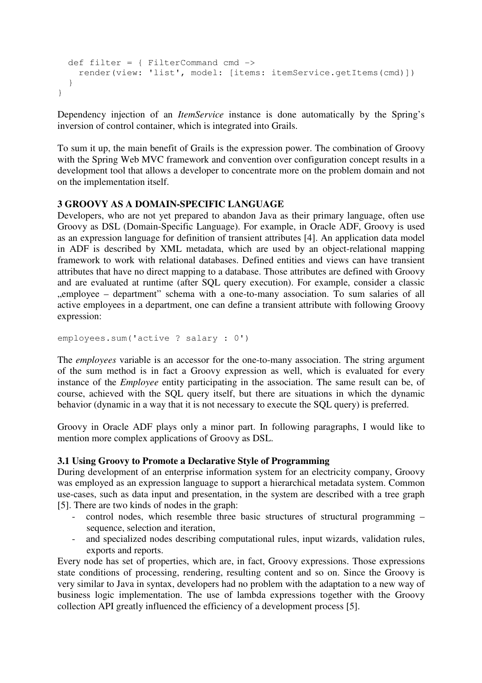```
 def filter = { FilterCommand cmd -> 
     render(view: 'list', model: [items: itemService.getItems(cmd)]) 
   } 
}
```
Dependency injection of an *ItemService* instance is done automatically by the Spring's inversion of control container, which is integrated into Grails.

To sum it up, the main benefit of Grails is the expression power. The combination of Groovy with the Spring Web MVC framework and convention over configuration concept results in a development tool that allows a developer to concentrate more on the problem domain and not on the implementation itself.

## **3 GROOVY AS A DOMAIN-SPECIFIC LANGUAGE**

Developers, who are not yet prepared to abandon Java as their primary language, often use Groovy as DSL (Domain-Specific Language). For example, in Oracle ADF, Groovy is used as an expression language for definition of transient attributes [4]. An application data model in ADF is described by XML metadata, which are used by an object-relational mapping framework to work with relational databases. Defined entities and views can have transient attributes that have no direct mapping to a database. Those attributes are defined with Groovy and are evaluated at runtime (after SQL query execution). For example, consider a classic ", employee – department" schema with a one-to-many association. To sum salaries of all active employees in a department, one can define a transient attribute with following Groovy expression:

```
employees.sum('active ? salary : 0')
```
The *employees* variable is an accessor for the one-to-many association. The string argument of the sum method is in fact a Groovy expression as well, which is evaluated for every instance of the *Employee* entity participating in the association. The same result can be, of course, achieved with the SQL query itself, but there are situations in which the dynamic behavior (dynamic in a way that it is not necessary to execute the SQL query) is preferred.

Groovy in Oracle ADF plays only a minor part. In following paragraphs, I would like to mention more complex applications of Groovy as DSL.

## **3.1 Using Groovy to Promote a Declarative Style of Programming**

During development of an enterprise information system for an electricity company, Groovy was employed as an expression language to support a hierarchical metadata system. Common use-cases, such as data input and presentation, in the system are described with a tree graph [5]. There are two kinds of nodes in the graph:

- control nodes, which resemble three basic structures of structural programming sequence, selection and iteration,
- and specialized nodes describing computational rules, input wizards, validation rules, exports and reports.

Every node has set of properties, which are, in fact, Groovy expressions. Those expressions state conditions of processing, rendering, resulting content and so on. Since the Groovy is very similar to Java in syntax, developers had no problem with the adaptation to a new way of business logic implementation. The use of lambda expressions together with the Groovy collection API greatly influenced the efficiency of a development process [5].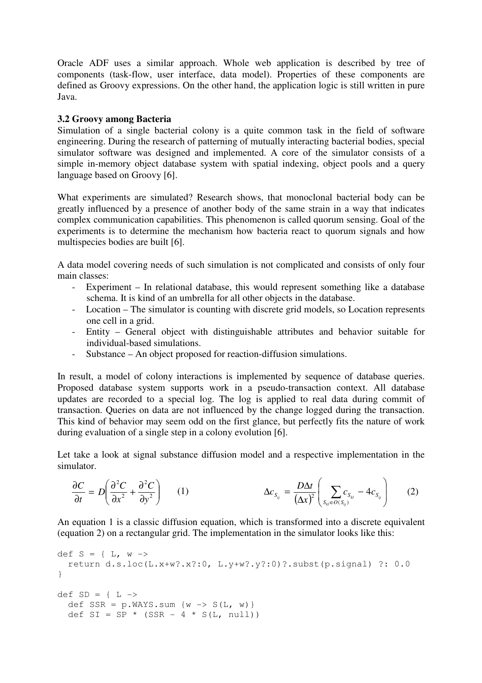Oracle ADF uses a similar approach. Whole web application is described by tree of components (task-flow, user interface, data model). Properties of these components are defined as Groovy expressions. On the other hand, the application logic is still written in pure Java.

# **3.2 Groovy among Bacteria**

Simulation of a single bacterial colony is a quite common task in the field of software engineering. During the research of patterning of mutually interacting bacterial bodies, special simulator software was designed and implemented. A core of the simulator consists of a simple in-memory object database system with spatial indexing, object pools and a query language based on Groovy [6].

What experiments are simulated? Research shows, that monoclonal bacterial body can be greatly influenced by a presence of another body of the same strain in a way that indicates complex communication capabilities. This phenomenon is called quorum sensing. Goal of the experiments is to determine the mechanism how bacteria react to quorum signals and how multispecies bodies are built [6].

A data model covering needs of such simulation is not complicated and consists of only four main classes:

- Experiment In relational database, this would represent something like a database schema. It is kind of an umbrella for all other objects in the database.
- Location The simulator is counting with discrete grid models, so Location represents one cell in a grid.
- Entity General object with distinguishable attributes and behavior suitable for individual-based simulations.
- Substance An object proposed for reaction-diffusion simulations.

In result, a model of colony interactions is implemented by sequence of database queries. Proposed database system supports work in a pseudo-transaction context. All database updates are recorded to a special log. The log is applied to real data during commit of transaction. Queries on data are not influenced by the change logged during the transaction. This kind of behavior may seem odd on the first glance, but perfectly fits the nature of work during evaluation of a single step in a colony evolution [6].

Let take a look at signal substance diffusion model and a respective implementation in the simulator.

$$
\frac{\partial C}{\partial t} = D \left( \frac{\partial^2 C}{\partial x^2} + \frac{\partial^2 C}{\partial y^2} \right) \qquad (1) \qquad \Delta c_{S_{ij}} = \frac{D \Delta t}{(\Delta x)^2} \left( \sum_{S_{kl} \in O(S_{ij})} c_{S_{kl}} - 4c_{S_{ij}} \right) \qquad (2)
$$

An equation 1 is a classic diffusion equation, which is transformed into a discrete equivalent (equation 2) on a rectangular grid. The implementation in the simulator looks like this:

```
def S = \{ L, w \rightarrow \} return d.s.loc(L.x+w?.x?:0, L.y+w?.y?:0)?.subst(p.signal) ?: 0.0 
} 
def SD = \{ L \rightarrowdef SSR = p.WAYS.sum \{w \rightarrow S(L, w)\}\def SI = SP * (SSR - 4 * S(L, null))
```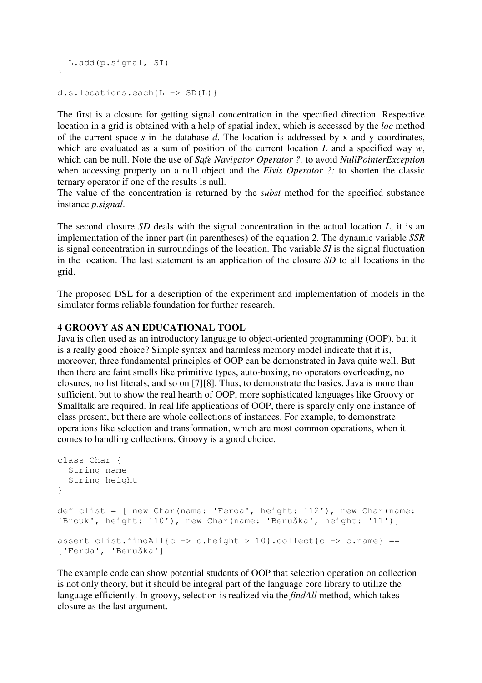```
 L.add(p.signal, SI) 
} 
d.s.locations.each\{L \rightarrow SD(L)\}\
```
The first is a closure for getting signal concentration in the specified direction. Respective location in a grid is obtained with a help of spatial index, which is accessed by the *loc* method of the current space *s* in the database *d*. The location is addressed by x and y coordinates, which are evaluated as a sum of position of the current location *L* and a specified way *w*, which can be null. Note the use of *Safe Navigator Operator ?.* to avoid *NullPointerException* when accessing property on a null object and the *Elvis Operator ?:* to shorten the classic ternary operator if one of the results is null.

The value of the concentration is returned by the *subst* method for the specified substance instance *p.signal*.

The second closure *SD* deals with the signal concentration in the actual location *L*, it is an implementation of the inner part (in parentheses) of the equation 2. The dynamic variable *SSR* is signal concentration in surroundings of the location. The variable *SI* is the signal fluctuation in the location. The last statement is an application of the closure *SD* to all locations in the grid.

The proposed DSL for a description of the experiment and implementation of models in the simulator forms reliable foundation for further research.

## **4 GROOVY AS AN EDUCATIONAL TOOL**

Java is often used as an introductory language to object-oriented programming (OOP), but it is a really good choice? Simple syntax and harmless memory model indicate that it is, moreover, three fundamental principles of OOP can be demonstrated in Java quite well. But then there are faint smells like primitive types, auto-boxing, no operators overloading, no closures, no list literals, and so on [7][8]. Thus, to demonstrate the basics, Java is more than sufficient, but to show the real hearth of OOP, more sophisticated languages like Groovy or Smalltalk are required. In real life applications of OOP, there is sparely only one instance of class present, but there are whole collections of instances. For example, to demonstrate operations like selection and transformation, which are most common operations, when it comes to handling collections, Groovy is a good choice.

```
class Char { 
  String name 
   String height 
} 
def clist = [ new Char(name: 'Ferda', height: '12'), new Char(name: 
'Brouk', height: '10'), new Char(name: 'Beruška', height: '11')] 
assert clist.findAll{c -> c.height > 10}.collect{c -> c.name} ==
['Ferda', 'Beruška']
```
The example code can show potential students of OOP that selection operation on collection is not only theory, but it should be integral part of the language core library to utilize the language efficiently. In groovy, selection is realized via the *findAll* method, which takes closure as the last argument.